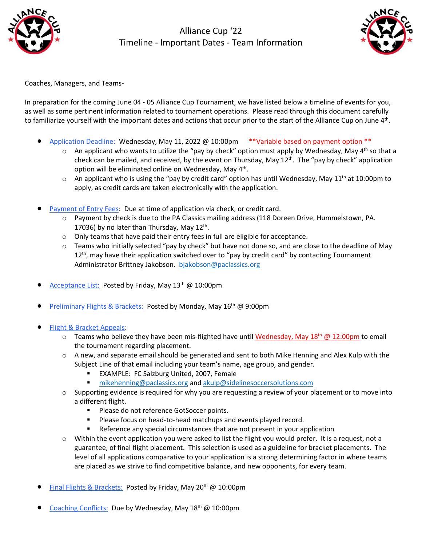

Alliance Cup '22 Timeline - Important Dates - Team Information



Coaches, Managers, and Teams-

In preparation for the coming June 04 - 05 Alliance Cup Tournament, we have listed below a timeline of events for you, as well as some pertinent information related to tournament operations. Please read through this document carefully to familiarize yourself with the important dates and actions that occur prior to the start of the Alliance Cup on June 4<sup>th</sup>.

- Application Deadline: Wednesday, May 11, 2022 @ 10:00pm \*\*Variable based on payment option \*\*
	- $\circ$  An applicant who wants to utilize the "pay by check" option must apply by Wednesday, May 4<sup>th</sup> so that a check can be mailed, and received, by the event on Thursday, May 12th. The "pay by check" application option will be eliminated online on Wednesday, May 4<sup>th</sup>.
	- o An applicant who is using the "pay by credit card" option has until Wednesday, May 11<sup>th</sup> at 10:00pm to apply, as credit cards are taken electronically with the application.
- Payment of Entry Fees: Due at time of application via check, or credit card.
	- o Payment by check is due to the PA Classics mailing address (118 Doreen Drive, Hummelstown, PA. 17036) by no later than Thursday, May 12<sup>th</sup>.
	- o Only teams that have paid their entry fees in full are eligible for acceptance.
	- o Teams who initially selected "pay by check" but have not done so, and are close to the deadline of May  $12<sup>th</sup>$ , may have their application switched over to "pay by credit card" by contacting Tournament Administrator Brittney Jakobson. [bjakobson@paclassics.org](mailto:bjakobson@paclassics.org)
- Acceptance List: Posted by Friday, May 13<sup>th</sup> @ 10:00pm
- Preliminary Flights & Brackets: Posted by Monday, May 16<sup>th</sup> @ 9:00pm
- Flight & Bracket Appeals:
	- Teams who believe they have been mis-flighted have until <u>Wednesday, May 18<sup>th</sup> @ 12:00pm</u> to email the tournament regarding placement.
	- $\circ$  A new, and separate email should be generated and sent to both Mike Henning and Alex Kulp with the Subject Line of that email including your team's name, age group, and gender.
		- EXAMPLE: FC Salzburg United, 2007, Female
		- **EXECTE [mikehenning@paclassics.org](mailto:mikehenning@paclassics.org) and [akulp@sidelinesoccersolutions.com](mailto:akulp@sidelinesoccersolutions.com)**
	- $\circ$  Supporting evidence is required for why you are requesting a review of your placement or to move into a different flight.
		- Please do not reference GotSoccer points.
		- **E** Please focus on head-to-head matchups and events played record.
		- Reference any special circumstances that are not present in your application
	- $\circ$  Within the event application you were asked to list the flight you would prefer. It is a request, not a guarantee, of final flight placement. This selection is used as a guideline for bracket placements. The level of all applications comparative to your application is a strong determining factor in where teams are placed as we strive to find competitive balance, and new opponents, for every team.
- Final Flights & Brackets: Posted by Friday, May 20th @ 10:00pm
- Coaching Conflicts: Due by Wednesday, May 18th @ 10:00pm